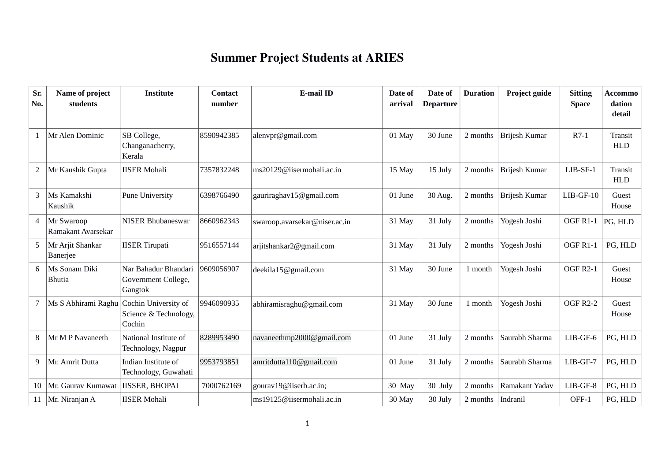| Sr.<br>No.     | Name of project<br>students              | <b>Institute</b>                                       | <b>Contact</b><br>number | <b>E-mail ID</b>              | Date of<br>arrival | Date of<br><b>Departure</b> | <b>Duration</b> | Project guide  | <b>Sitting</b><br><b>Space</b> | <b>Accommo</b><br>dation<br>detail |
|----------------|------------------------------------------|--------------------------------------------------------|--------------------------|-------------------------------|--------------------|-----------------------------|-----------------|----------------|--------------------------------|------------------------------------|
|                | Mr Alen Dominic                          | SB College,<br>Changanacherry,<br>Kerala               | 8590942385               | alenvpr@gmail.com             | 01 May             | 30 June                     | 2 months        | Brijesh Kumar  | $R7-1$                         | <b>Transit</b><br><b>HLD</b>       |
| $\overline{2}$ | Mr Kaushik Gupta                         | <b>IISER Mohali</b>                                    | 7357832248               | ms20129@iisermohali.ac.in     | 15 May             | 15 July                     | 2 months        | Brijesh Kumar  | $LIB-SF-1$                     | Transit<br><b>HLD</b>              |
| 3              | Ms Kamakshi<br>Kaushik                   | <b>Pune University</b>                                 | 6398766490               | gauriraghav15@gmail.com       | 01 June            | 30 Aug.                     | 2 months        | Brijesh Kumar  | $LIB-GF-10$                    | Guest<br>House                     |
| 4              | Mr Swaroop<br>Ramakant Avarsekar         | <b>NISER Bhubaneswar</b>                               | 8660962343               | swaroop.avarsekar@niser.ac.in | 31 May             | 31 July                     | 2 months        | Yogesh Joshi   | OGF R1-1                       | PG, HLD                            |
| 5              | Mr Arjit Shankar<br>Banerjee             | <b>IISER Tirupati</b>                                  | 9516557144               | arjitshankar2@gmail.com       | 31 May             | 31 July                     | 2 months        | Yogesh Joshi   | OGF R1-1                       | PG, HLD                            |
|                | Ms Sonam Diki<br>Bhutia                  | Nar Bahadur Bhandari<br>Government College,<br>Gangtok | 9609056907               | deekila15@gmail.com           | 31 May             | 30 June                     | 1 month         | Yogesh Joshi   | <b>OGF R2-1</b>                | Guest<br>House                     |
| 7              | Ms S Abhirami Raghu Cochin University of | Science & Technology,<br>Cochin                        | 9946090935               | abhiramisraghu@gmail.com      | 31 May             | 30 June                     | 1 month         | Yogesh Joshi   | <b>OGF R2-2</b>                | Guest<br>House                     |
| 8              | Mr M P Navaneeth                         | National Institute of<br>Technology, Nagpur            | 8289953490               | navaneethmp2000@gmail.com     | 01 June            | 31 July                     | 2 months        | Saurabh Sharma | $LIB-GF-6$                     | PG, HLD                            |
| 9              | Mr. Amrit Dutta                          | Indian Institute of<br>Technology, Guwahati            | 9953793851               | amritdutta110@gmail.com       | 01 June            | 31 July                     | 2 months        | Saurabh Sharma | LIB-GF-7                       | PG, HLD                            |
| 10             | Mr. Gaurav Kumawat                       | <b>IISSER, BHOPAL</b>                                  | 7000762169               | gourav19@iiserb.ac.in;        | 30 May             | 30 July                     | 2 months        | Ramakant Yadav | $LIB-GF-8$                     | PG, HLD                            |
|                | 11   Mr. Niranjan A                      | <b>IISER Mohali</b>                                    |                          | ms19125@iisermohali.ac.in     | 30 May             | 30 July                     | 2 months        | Indranil       | OFF-1                          | PG, HLD                            |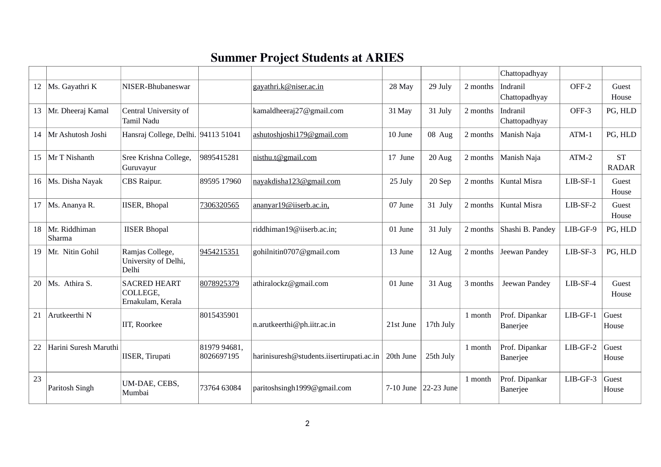|    |                         |                                                      |                            |                                           |           |               |          | Chattopadhyay                     |            |                           |
|----|-------------------------|------------------------------------------------------|----------------------------|-------------------------------------------|-----------|---------------|----------|-----------------------------------|------------|---------------------------|
| 12 | Ms. Gayathri K          | NISER-Bhubaneswar                                    |                            | gayathri.k@niser.ac.in                    | 28 May    | 29 July       | 2 months | Indranil<br>Chattopadhyay         | OFF-2      | Guest<br>House            |
| 13 | Mr. Dheeraj Kamal       | Central University of<br>Tamil Nadu                  |                            | kamaldheeraj27@gmail.com                  | 31 May    | 31 July       | 2 months | Indranil<br>Chattopadhyay         | OFF-3      | PG, HLD                   |
| 14 | Mr Ashutosh Joshi       | Hansraj College, Delhi. 94113 51041                  |                            | ashutoshjoshi179@gmail.com                | 10 June   | 08 Aug        | 2 months | Manish Naja                       | $ATM-1$    | PG, HLD                   |
| 15 | Mr T Nishanth           | Sree Krishna College,<br>Guruvayur                   | 9895415281                 | nisthu.t@gmail.com                        | 17 June   | 20 Aug        | 2 months | Manish Naja                       | $ATM-2$    | <b>ST</b><br><b>RADAR</b> |
| 16 | Ms. Disha Nayak         | CBS Raipur.                                          | 89595 17960                | nayakdisha123@gmail.com                   | 25 July   | 20 Sep        | 2 months | <b>Kuntal Misra</b>               | LIB-SF-1   | Guest<br>House            |
| 17 | Ms. Ananya R.           | <b>IISER, Bhopal</b>                                 | 7306320565                 | ananyar19@iiserb.ac.in,                   | 07 June   | 31 July       | 2 months | Kuntal Misra                      | $LIB-SF-2$ | Guest<br>House            |
| 18 | Mr. Riddhiman<br>Sharma | <b>IISER Bhopal</b>                                  |                            | riddhiman19@iiserb.ac.in;                 | 01 June   | 31 July       | 2 months | Shashi B. Pandey                  | LIB-GF-9   | PG, HLD                   |
| 19 | Mr. Nitin Gohil         | Ramjas College,<br>University of Delhi,<br>Delhi     | 9454215351                 | gohilnitin0707@gmail.com                  | 13 June   | 12 Aug        | 2 months | Jeewan Pandey                     | LIB-SF-3   | PG, HLD                   |
| 20 | Ms. Athira S.           | <b>SACRED HEART</b><br>COLLEGE,<br>Ernakulam, Kerala | 8078925379                 | athiralockz@gmail.com                     | 01 June   | 31 Aug        | 3 months | Jeewan Pandey                     | LIB-SF-4   | Guest<br>House            |
| 21 | Arutkeerthi N           | IIT, Roorkee                                         | 8015435901                 | n.arutkeerthi@ph.iitr.ac.in               | 21st June | 17th July     | 1 month  | Prof. Dipankar<br><b>Banerjee</b> | LIB-GF-1   | Guest<br>House            |
| 22 | Harini Suresh Maruthi   | <b>IISER, Tirupati</b>                               | 81979 94681,<br>8026697195 | harinisuresh@students.iisertirupati.ac.in | 20th June | 25th July     | 1 month  | Prof. Dipankar<br><b>Banerjee</b> | $LIB-GF-2$ | Guest<br>House            |
| 23 | Paritosh Singh          | UM-DAE, CEBS,<br>Mumbai                              | 73764 63084                | paritoshsingh1999@gmail.com               | 7-10 June | $ 22-23$ June | 1 month  | Prof. Dipankar<br><b>Banerjee</b> | LIB-GF-3   | Guest<br>House            |